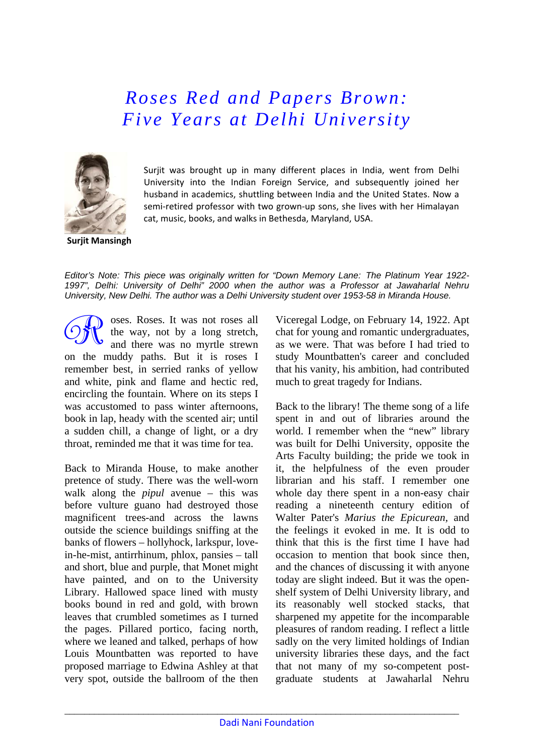*Roses Red and Papers Brown: Five Years at Delhi University* 



Surjit was brought up in many different places in India, went from Delhi University into the Indian Foreign Service, and subsequently joined her husband in academics, shuttling between India and the United States. Now a semi-retired professor with two grown-up sons, she lives with her Himalayan cat, music, books, and walks in Bethesda, Maryland, USA.

**Surjit Mansingh**

*Editor's Note: This piece was originally written for "Down Memory Lane: The Platinum Year 1922- 1997", Delhi: University of Delhi" 2000 when the author was a Professor at Jawaharlal Nehru University, New Delhi. The author was a Delhi University student over 1953-58 in Miranda House.* 

oses. Roses. It was not roses all the way, not by a long stretch, and there was no myrtle strewn on the muddy paths. But it is roses I remember best, in serried ranks of yellow and white, pink and flame and hectic red, encircling the fountain. Where on its steps I was accustomed to pass winter afternoons, book in lap, heady with the scented air; until a sudden chill, a change of light, or a dry throat, reminded me that it was time for tea.

Back to Miranda House, to make another pretence of study. There was the well-worn walk along the *pipul* avenue – this was before vulture guano had destroyed those magnificent trees-and across the lawns outside the science buildings sniffing at the banks of flowers – hollyhock, larkspur, lovein-he-mist, antirrhinum, phlox, pansies – tall and short, blue and purple, that Monet might have painted, and on to the University Library. Hallowed space lined with musty books bound in red and gold, with brown leaves that crumbled sometimes as I turned the pages. Pillared portico, facing north, where we leaned and talked, perhaps of how Louis Mountbatten was reported to have proposed marriage to Edwina Ashley at that very spot, outside the ballroom of the then Viceregal Lodge, on February 14, 1922. Apt chat for young and romantic undergraduates, as we were. That was before I had tried to study Mountbatten's career and concluded that his vanity, his ambition, had contributed much to great tragedy for Indians.

Back to the library! The theme song of a life spent in and out of libraries around the world. I remember when the "new" library was built for Delhi University, opposite the Arts Faculty building; the pride we took in it, the helpfulness of the even prouder librarian and his staff. I remember one whole day there spent in a non-easy chair reading a nineteenth century edition of Walter Pater's *Marius the Epicurean,* and the feelings it evoked in me. It is odd to think that this is the first time I have had occasion to mention that book since then, and the chances of discussing it with anyone today are slight indeed. But it was the openshelf system of Delhi University library, and its reasonably well stocked stacks, that sharpened my appetite for the incomparable pleasures of random reading. I reflect a little sadly on the very limited holdings of Indian university libraries these days, and the fact that not many of my so-competent postgraduate students at Jawaharlal Nehru

\_\_\_\_\_\_\_\_\_\_\_\_\_\_\_\_\_\_\_\_\_\_\_\_\_\_\_\_\_\_\_\_\_\_\_\_\_\_\_\_\_\_\_\_\_\_\_\_\_\_\_\_\_\_\_\_\_\_\_\_\_\_\_\_\_\_\_\_\_\_\_\_\_\_\_\_\_\_\_\_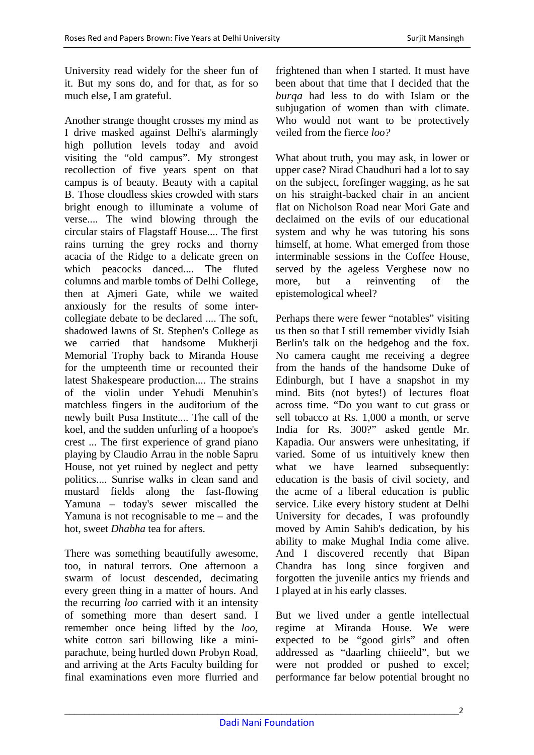University read widely for the sheer fun of it. But my sons do, and for that, as for so much else, I am grateful.

Another strange thought crosses my mind as I drive masked against Delhi's alarmingly high pollution levels today and avoid visiting the "old campus". My strongest recollection of five years spent on that campus is of beauty. Beauty with a capital B. Those cloudless skies crowded with stars bright enough to illuminate a volume of verse.... The wind blowing through the circular stairs of Flagstaff House.... The first rains turning the grey rocks and thorny acacia of the Ridge to a delicate green on which peacocks danced.... The fluted columns and marble tombs of Delhi College, then at Ajmeri Gate, while we waited anxiously for the results of some intercollegiate debate to be declared .... The soft, shadowed lawns of St. Stephen's College as we carried that handsome Mukherii Memorial Trophy back to Miranda House for the umpteenth time or recounted their latest Shakespeare production.... The strains of the violin under Yehudi Menuhin's matchless fingers in the auditorium of the newly built Pusa Institute.... The call of the koel, and the sudden unfurling of a hoopoe's crest ... The first experience of grand piano playing by Claudio Arrau in the noble Sapru House, not yet ruined by neglect and petty politics.... Sunrise walks in clean sand and mustard fields along the fast-flowing Yamuna – today's sewer miscalled the Yamuna is not recognisable to me – and the hot, sweet *Dhabha* tea for afters.

There was something beautifully awesome, too, in natural terrors. One afternoon a swarm of locust descended, decimating every green thing in a matter of hours. And the recurring *loo* carried with it an intensity of something more than desert sand. I remember once being lifted by the *loo,*  white cotton sari billowing like a miniparachute, being hurtled down Probyn Road, and arriving at the Arts Faculty building for final examinations even more flurried and frightened than when I started. It must have been about that time that I decided that the *burqa* had less to do with Islam or the subjugation of women than with climate. Who would not want to be protectively veiled from the fierce *loo?* 

What about truth, you may ask, in lower or upper case? Nirad Chaudhuri had a lot to say on the subject, forefinger wagging, as he sat on his straight-backed chair in an ancient flat on Nicholson Road near Mori Gate and declaimed on the evils of our educational system and why he was tutoring his sons himself, at home. What emerged from those interminable sessions in the Coffee House, served by the ageless Verghese now no more, but a reinventing of the epistemological wheel?

Perhaps there were fewer "notables" visiting us then so that I still remember vividly Isiah Berlin's talk on the hedgehog and the fox. No camera caught me receiving a degree from the hands of the handsome Duke of Edinburgh, but I have a snapshot in my mind. Bits (not bytes!) of lectures float across time. "Do you want to cut grass or sell tobacco at Rs. 1,000 a month, or serve India for Rs. 300?" asked gentle Mr. Kapadia. Our answers were unhesitating, if varied. Some of us intuitively knew then what we have learned subsequently: education is the basis of civil society, and the acme of a liberal education is public service. Like every history student at Delhi University for decades, I was profoundly moved by Amin Sahib's dedication, by his ability to make Mughal India come alive. And I discovered recently that Bipan Chandra has long since forgiven and forgotten the juvenile antics my friends and I played at in his early classes.

But we lived under a gentle intellectual regime at Miranda House. We were expected to be "good girls" and often addressed as "daarling chiieeld", but we were not prodded or pushed to excel; performance far below potential brought no